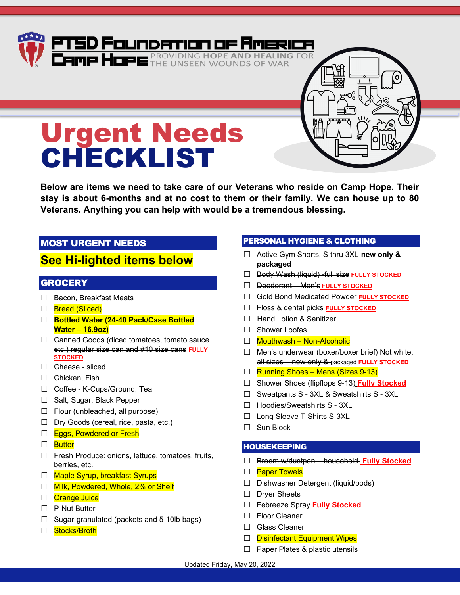# You may bring items to Camp Hope and drop off at the Donation Station located in the Front Office. 4 ATGD Eru maer ma Hope is the Camp AmazonSmile. We have 6 lists: Pantry, Residential, Residential, Residential, Residential, Residential, Residential, Residential, Residential, Residential, Residential, Residential, Resid Campus Facilities, Office Supplies, Weatherford Family Complex and Urgent Needs Lists. You can give Needs List twice by choosing PTSD Foundation of America as your Charity. One way to shop for food items and have the mass  $\overline{a}$  is the mass  $\overline{a}$  is the amazon  $\overline{a}$  and  $\overline{a}$ Urgent Needs CHECKLIST

**Below are items we need to take care of our Veterans who reside on Camp Hope. Their stay is about 6-months and at no cost to them or their family. We can house up to 80 Veterans. Anything you can help with would be a tremendous blessing.** 

# MOST URGENT NEEDS

# **See Hi-lighted items below**

#### **GROCERY**

- □ Bacon, Breakfast Meats
- □ Bread (Sliced)
- ☐ **Bottled Water (24-40 Pack/Case Bottled Water – 16.9oz)**
- ☐ Canned Goods (diced tomatoes, tomato sauce etc.) regular size can and #10 size cans **FULLY STOCKED**
- ☐ Cheese sliced
- ☐ Chicken, Fish
- ☐ Coffee K-Cups/Ground, Tea
- ☐ Salt, Sugar, Black Pepper
- $\Box$  Flour (unbleached, all purpose)
- ☐ Dry Goods (cereal, rice, pasta, etc.)
- □ Eggs, Powdered or Fresh
- □ Butter
- ☐ Fresh Produce: onions, lettuce, tomatoes, fruits, berries, etc.
- □ Maple Syrup, breakfast Syrups
- □ Milk, Powdered, Whole, 2% or Shelf
- □ Orange Juice
- ☐ P-Nut Butter
- ☐ Sugar-granulated (packets and 5-10lb bags)
- □ Stocks/Broth

#### PERSONAL HYGIENE & CLOTHING

- ☐ Active Gym Shorts, S thru 3XL-**new only & packaged**
- ☐ Body Wash (liquid) -full size **FULLY STOCKED**
- ☐ Deodorant Men's **FULLY STOCKED**
- ☐ Gold Bond Medicated Powder **FULLY STOCKED**
- ☐ Floss & dental picks **FULLY STOCKED**
- ☐ Hand Lotion & Sanitizer
- ☐ Shower Loofas
- ☐ Mouthwash Non-Alcoholic
- ☐ Men's underwear (boxer/boxer brief) Not white, all sizes – new only & packaged **FULLY STOCKED**
- ☐ Running Shoes Mens (Sizes 9-13)
- ☐ Shower Shoes (flipflops 9-13) **Fully Stocked**
- ☐ Sweatpants S 3XL & Sweatshirts S 3XL
- ☐ Hoodies/Sweatshirts S 3XL
- ☐ Long Sleeve T-Shirts S-3XL
- ☐ Sun Block

#### HOUSEKEEPING

- ☐ Broom w/dustpan household **Fully Stocked**
- □ Paper Towels
- ☐ Dishwasher Detergent (liquid/pods)
- ☐ Dryer Sheets
- ☐ Febreeze Spray **Fully Stocked**
- ☐ Floor Cleaner
- ☐ Glass Cleaner
- □ Disinfectant Equipment Wipes
- □ Paper Plates & plastic utensils